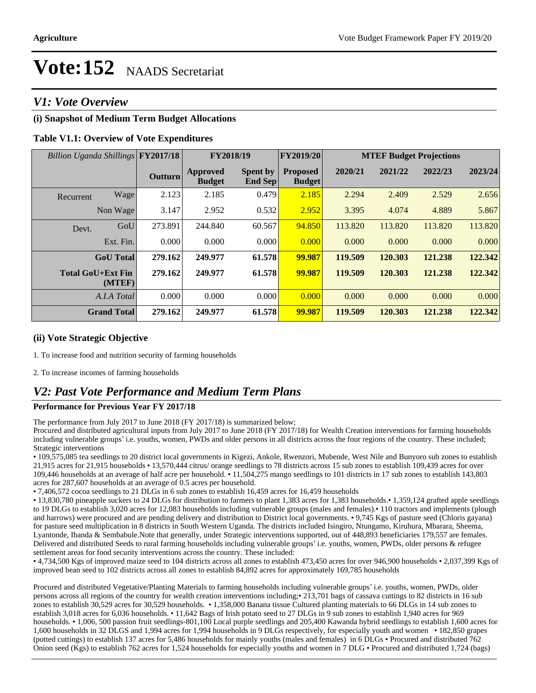### *V1: Vote Overview*

### **(i) Snapshot of Medium Term Budget Allocations**

### **Table V1.1: Overview of Vote Expenditures**

| Billion Uganda Shillings FY2017/18 |      |                | FY2018/19                 |                            | FY2019/20                        |         |         | <b>MTEF Budget Projections</b> |         |
|------------------------------------|------|----------------|---------------------------|----------------------------|----------------------------------|---------|---------|--------------------------------|---------|
|                                    |      | <b>Outturn</b> | Approved<br><b>Budget</b> | <b>Spent by</b><br>End Sep | <b>Proposed</b><br><b>Budget</b> | 2020/21 | 2021/22 | 2022/23                        | 2023/24 |
| Recurrent                          | Wage | 2.123          | 2.185                     | 0.479                      | 2.185                            | 2.294   | 2.409   | 2.529                          | 2.656   |
| Non Wage                           |      | 3.147          | 2.952                     | 0.532                      | 2.952                            | 3.395   | 4.074   | 4.889                          | 5.867   |
| Devt.                              | GoU  | 273.891        | 244.840                   | 60.567                     | 94.850                           | 113.820 | 113.820 | 113.820                        | 113.820 |
| Ext. Fin.                          |      | 0.000          | 0.000                     | 0.000                      | 0.000                            | 0.000   | 0.000   | 0.000                          | 0.000   |
| <b>GoU</b> Total                   |      | 279.162        | 249.977                   | 61.578                     | 99.987                           | 119.509 | 120.303 | 121.238                        | 122.342 |
| <b>Total GoU+Ext Fin</b><br>(MTEF) |      | 279.162        | 249.977                   | 61.578                     | 99.987                           | 119.509 | 120.303 | 121.238                        | 122.342 |
| A.I.A Total                        |      | 0.000          | 0.000                     | 0.000                      | 0.000                            | 0.000   | 0.000   | 0.000                          | 0.000   |
| <b>Grand Total</b>                 |      | 279.162        | 249.977                   | 61.578                     | 99.987                           | 119.509 | 120.303 | 121.238                        | 122.342 |

### **(ii) Vote Strategic Objective**

1. To increase food and nutrition security of farming households

2. To increase incomes of farming households

### *V2: Past Vote Performance and Medium Term Plans*

#### **Performance for Previous Year FY 2017/18**

The performance from July 2017 to June 2018 (FY 2017/18) is summarized below;

Procured and distributed agricultural inputs from July 2017 to June 2018 (FY 2017/18) for Wealth Creation interventions for farming households including vulnerable groups' i.e. youths, women, PWDs and older persons in all districts across the four regions of the country. These included; Strategic interventions

109,575,085 tea seedlings to 20 district local governments in Kigezi, Ankole, Rwenzori, Mubende, West Nile and Bunyoro sub zones to establish 21,915 acres for 21,915 households 13,570,444 citrus/ orange seedlings to 78 districts across 15 sub zones to establish 109,439 acres for over 109,446 households at an average of half acre per household. 11,504,275 mango seedlings to 101 districts in 17 sub zones to establish 143,803 acres for 287,607 households at an average of 0.5 acres per household.

7,406,572 cocoa seedlings to 21 DLGs in 6 sub zones to establish 16,459 acres for 16,459 households

• 13,830,780 pineapple suckers to 24 DLGs for distribution to farmers to plant 1,383 acres for 1,383 households.• 1,359,124 grafted apple seedlings to 19 DLGs to establish 3,020 acres for 12,083 households including vulnerable groups (males and females).• 110 tractors and implements (plough and harrows) were procured and are pending delivery and distribution to District local governments. • 9,745 Kgs of pasture seed (Chloris gayana) for pasture seed multiplication in 8 districts in South Western Uganda. The districts included Isingiro, Ntungamo, Kiruhura, Mbarara, Sheema, Lyantonde, Ibanda & Sembabule.Note that generally, under Strategic interventions supported, out of 448,893 beneficiaries 179,557 are females. Delivered and distributed Seeds to rural farming households including vulnerable groups' i.e. youths, women, PWDs, older persons & refugee settlement areas for food security interventions across the country. These included:

• 4,734,500 Kgs of improved maize seed to 104 districts across all zones to establish 473,450 acres for over 946,900 households • 2,037,399 Kgs of improved bean seed to 102 districts across all zones to establish 84,892 acres for approximately 169,785 households

Procured and distributed Vegetative/Planting Materials to farming households including vulnerable groups' i.e. youths, women, PWDs, older persons across all regions of the country for wealth creation interventions including;213,701 bags of cassava cuttings to 82 districts in 16 sub zones to establish 30,529 acres for 30,529 households. • 1,358,000 Banana tissue Cultured planting materials to 66 DLGs in 14 sub zones to establish 3,018 acres for 6,036 households. • 11,642 Bags of Irish potato seed to 27 DLGs in 9 sub zones to establish 1,940 acres for 969 households. • 1,006, 500 passion fruit seedlings-801,100 Local purple seedlings and 205,400 Kawanda hybrid seedlings to establish 1,600 acres for 1,600 households in 32 DLGS and 1,994 acres for 1,994 households in 9 DLGs respectively, for especially youth and women 182,850 grapes (potted cuttings) to establish 137 acres for 5,486 households for mainly youths (males and females) in 6 DLGs • Procured and distributed 762 Onion seed (Kgs) to establish 762 acres for 1,524 households for especially youths and women in 7 DLG • Procured and distributed 1,724 (bags)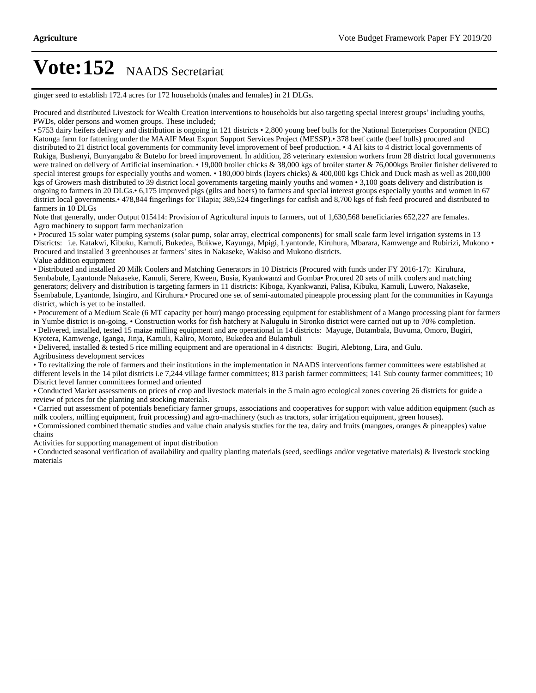ginger seed to establish 172.4 acres for 172 households (males and females) in 21 DLGs.

Procured and distributed Livestock for Wealth Creation interventions to households but also targeting special interest groups' including youths, PWDs, older persons and women groups. These included;

• 5753 dairy heifers delivery and distribution is ongoing in 121 districts • 2,800 young beef bulls for the National Enterprises Corporation (NEC) Katonga farm for fattening under the MAAIF Meat Export Support Services Project (MESSP). 378 beef cattle (beef bulls) procured and distributed to 21 district local governments for community level improvement of beef production. 4 AI kits to 4 district local governments of Rukiga, Bushenyi, Bunyangabo & Butebo for breed improvement. In addition, 28 veterinary extension workers from 28 district local governments were trained on delivery of Artificial insemination. 19,000 broiler chicks & 38,000 kgs of broiler starter & 76,000kgs Broiler finisher delivered to special interest groups for especially youths and women. • 180,000 birds (layers chicks) & 400,000 kgs Chick and Duck mash as well as 200,000 kgs of Growers mash distributed to 39 district local governments targeting mainly youths and women • 3,100 goats delivery and distribution is ongoing to farmers in 20 DLGs. • 6,175 improved pigs (gilts and boers) to farmers and special interest groups especially youths and women in 67 district local governments. 478,844 fingerlings for Tilapia; 389,524 fingerlings for catfish and 8,700 kgs of fish feed procured and distributed to farmers in 10 DLGs

Note that generally, under Output 015414: Provision of Agricultural inputs to farmers, out of 1,630,568 beneficiaries 652,227 are females. Agro machinery to support farm mechanization

Procured 15 solar water pumping systems (solar pump, solar array, electrical components) for small scale farm level irrigation systems in 13 Districts: i.e. Katakwi, Kibuku, Kamuli, Bukedea, Buikwe, Kayunga, Mpigi, Lyantonde, Kiruhura, Mbarara, Kamwenge and Rubirizi, Mukono Procured and installed 3 greenhouses at farmers' sites in Nakaseke, Wakiso and Mukono districts. Value addition equipment

Distributed and installed 20 Milk Coolers and Matching Generators in 10 Districts (Procured with funds under FY 2016-17): Kiruhura, Sembabule, Lyantonde Nakaseke, Kamuli, Serere, Kween, Busia, Kyankwanzi and Gomba• Procured 20 sets of milk coolers and matching generators; delivery and distribution is targeting farmers in 11 districts: Kiboga, Kyankwanzi, Palisa, Kibuku, Kamuli, Luwero, Nakaseke, Ssembabule, Lyantonde, Isingiro, and Kiruhura. Procured one set of semi-automated pineapple processing plant for the communities in Kayunga district, which is yet to be installed.

Procurement of a Medium Scale (6 MT capacity per hour) mango processing equipment for establishment of a Mango processing plant for farmers in Yumbe district is on-going. Construction works for fish hatchery at Nalugulu in Sironko district were carried out up to 70% completion. Delivered, installed, tested 15 maize milling equipment and are operational in 14 districts: Mayuge, Butambala, Buvuma, Omoro, Bugiri, Kyotera, Kamwenge, Iganga, Jinja, Kamuli, Kaliro, Moroto, Bukedea and Bulambuli

Delivered, installed & tested 5 rice milling equipment and are operational in 4 districts: Bugiri, Alebtong, Lira, and Gulu.

Agribusiness development services

To revitalizing the role of farmers and their institutions in the implementation in NAADS interventions farmer committees were established at different levels in the 14 pilot districts i.e 7,244 village farmer committees; 813 parish farmer committees; 141 Sub county farmer committees; 10 District level farmer committees formed and oriented

Conducted Market assessments on prices of crop and livestock materials in the 5 main agro ecological zones covering 26 districts for guide a review of prices for the planting and stocking materials.

Carried out assessment of potentials beneficiary farmer groups, associations and cooperatives for support with value addition equipment (such as milk coolers, milling equipment, fruit processing) and agro-machinery (such as tractors, solar irrigation equipment, green houses).

Commissioned combined thematic studies and value chain analysis studies for the tea, dairy and fruits (mangoes, oranges & pineapples) value chains

Activities for supporting management of input distribution

Conducted seasonal verification of availability and quality planting materials (seed, seedlings and/or vegetative materials) & livestock stocking materials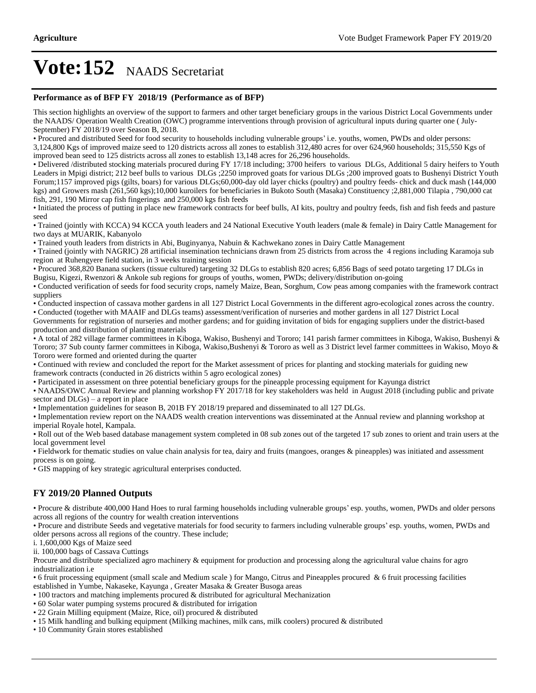#### **Performance as of BFP FY 2018/19 (Performance as of BFP)**

This section highlights an overview of the support to farmers and other target beneficiary groups in the various District Local Governments under the NAADS/ Operation Wealth Creation (OWC) programme interventions through provision of agricultural inputs during quarter one ( July-September) FY 2018/19 over Season B, 2018.

• Procured and distributed Seed for food security to households including vulnerable groups' i.e. youths, women, PWDs and older persons: 3,124,800 Kgs of improved maize seed to 120 districts across all zones to establish 312,480 acres for over 624,960 households; 315,550 Kgs of improved bean seed to 125 districts across all zones to establish 13,148 acres for 26,296 households.

Delivered /distributed stocking materials procured during FY 17/18 including; 3700 heifers to various DLGs, Additional 5 dairy heifers to Youth Leaders in Mpigi district; 212 beef bulls to various DLGs ;2250 improved goats for various DLGs ;200 improved goats to Bushenyi District Youth Forum;1157 improved pigs (gilts, boars) for various DLGs;60,000-day old layer chicks (poultry) and poultry feeds- chick and duck mash (144,000 kgs) and Growers mash (261,560 kgs);10,000 kuroilers for beneficiaries in Bukoto South (Masaka) Constituency ;2,881,000 Tilapia , 790,000 cat fish, 291, 190 Mirror cap fish fingerings and 250,000 kgs fish feeds

Initiated the process of putting in place new framework contracts for beef bulls, AI kits, poultry and poultry feeds, fish and fish feeds and pasture seed

Trained (jointly with KCCA) 94 KCCA youth leaders and 24 National Executive Youth leaders (male & female) in Dairy Cattle Management for two days at MUARIK, Kabanyolo

Trained youth leaders from districts in Abi, Buginyanya, Nabuin & Kachwekano zones in Dairy Cattle Management

Trained (jointly with NAGRIC) 28 artificial insemination technicians drawn from 25 districts from across the 4 regions including Karamoja sub region at Ruhengyere field station, in 3 weeks training session

Procured 368,820 Banana suckers (tissue cultured) targeting 32 DLGs to establish 820 acres; 6,856 Bags of seed potato targeting 17 DLGs in Bugisu, Kigezi, Rwenzori & Ankole sub regions for groups of youths, women, PWDs; delivery/distribution on-going

Conducted verification of seeds for food security crops, namely Maize, Bean, Sorghum, Cow peas among companies with the framework contract suppliers

Conducted inspection of cassava mother gardens in all 127 District Local Governments in the different agro-ecological zones across the country.

Conducted (together with MAAIF and DLGs teams) assessment/verification of nurseries and mother gardens in all 127 District Local Governments for registration of nurseries and mother gardens; and for guiding invitation of bids for engaging suppliers under the district-based production and distribution of planting materials

A total of 282 village farmer committees in Kiboga, Wakiso, Bushenyi and Tororo; 141 parish farmer committees in Kiboga, Wakiso, Bushenyi & Tororo; 37 Sub county farmer committees in Kiboga, Wakiso,Bushenyi & Tororo as well as 3 District level farmer committees in Wakiso, Moyo & Tororo were formed and oriented during the quarter

Continued with review and concluded the report for the Market assessment of prices for planting and stocking materials for guiding new framework contracts (conducted in 26 districts within 5 agro ecological zones)

Participated in assessment on three potential beneficiary groups for the pineapple processing equipment for Kayunga district

• NAADS/OWC Annual Review and planning workshop FY 2017/18 for key stakeholders was held in August 2018 (including public and private sector and  $DLGs$ ) – a report in place

Implementation guidelines for season B, 201B FY 2018/19 prepared and disseminated to all 127 DLGs.

Implementation review report on the NAADS wealth creation interventions was disseminated at the Annual review and planning workshop at imperial Royale hotel, Kampala.

• Roll out of the Web based database management system completed in 08 sub zones out of the targeted 17 sub zones to orient and train users at the local government level

Fieldwork for thematic studies on value chain analysis for tea, dairy and fruits (mangoes, oranges & pineapples) was initiated and assessment process is on going.

GIS mapping of key strategic agricultural enterprises conducted.

### **FY 2019/20 Planned Outputs**

• Procure & distribute 400,000 Hand Hoes to rural farming households including vulnerable groups' esp. youths, women, PWDs and older persons across all regions of the country for wealth creation interventions

• Procure and distribute Seeds and vegetative materials for food security to farmers including vulnerable groups' esp. youths, women, PWDs and older persons across all regions of the country. These include;

i. 1,600,000 Kgs of Maize seed

ii. 100,000 bags of Cassava Cuttings

Procure and distribute specialized agro machinery & equipment for production and processing along the agricultural value chains for agro industrialization i.e

6 fruit processing equipment (small scale and Medium scale ) for Mango, Citrus and Pineapples procured & 6 fruit processing facilities established in Yumbe, Nakaseke, Kayunga , Greater Masaka & Greater Busoga areas

- 100 tractors and matching implements procured & distributed for agricultural Mechanization
- 60 Solar water pumping systems procured & distributed for irrigation
- 22 Grain Milling equipment (Maize, Rice, oil) procured & distributed

15 Milk handling and bulking equipment (Milking machines, milk cans, milk coolers) procured & distributed

10 Community Grain stores established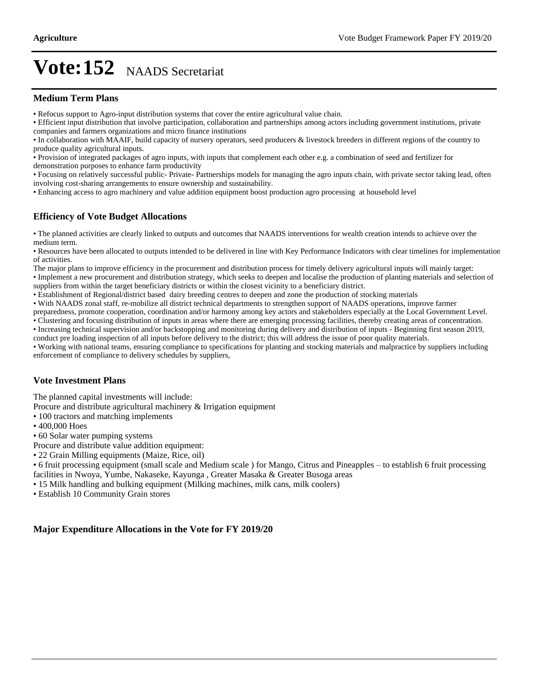#### **Medium Term Plans**

Refocus support to Agro-input distribution systems that cover the entire agricultural value chain.

Efficient input distribution that involve participation, collaboration and partnerships among actors including government institutions, private companies and farmers organizations and micro finance institutions

In collaboration with MAAIF, build capacity of nursery operators, seed producers & livestock breeders in different regions of the country to produce quality agricultural inputs.

Provision of integrated packages of agro inputs, with inputs that complement each other e.g. a combination of seed and fertilizer for demonstration purposes to enhance farm productivity

Focusing on relatively successful public- Private- Partnerships models for managing the agro inputs chain, with private sector taking lead, often involving cost-sharing arrangements to ensure ownership and sustainability.

Enhancing access to agro machinery and value addition equipment boost production agro processing at household level

### **Efficiency of Vote Budget Allocations**

The planned activities are clearly linked to outputs and outcomes that NAADS interventions for wealth creation intends to achieve over the medium term.

Resources have been allocated to outputs intended to be delivered in line with Key Performance Indicators with clear timelines for implementation of activities.

The major plans to improve efficiency in the procurement and distribution process for timely delivery agricultural inputs will mainly target:

Implement a new procurement and distribution strategy, which seeks to deepen and localise the production of planting materials and selection of suppliers from within the target beneficiary districts or within the closest vicinity to a beneficiary district.

Establishment of Regional/district based dairy breeding centres to deepen and zone the production of stocking materials

With NAADS zonal staff, re-mobilize all district technical departments to strengthen support of NAADS operations, improve farmer

preparedness, promote cooperation, coordination and/or harmony among key actors and stakeholders especially at the Local Government Level.

Clustering and focusing distribution of inputs in areas where there are emerging processing facilities, thereby creating areas of concentration. Increasing technical supervision and/or backstopping and monitoring during delivery and distribution of inputs - Beginning first season 2019,

conduct pre loading inspection of all inputs before delivery to the district; this will address the issue of poor quality materials.

Working with national teams, ensuring compliance to specifications for planting and stocking materials and malpractice by suppliers including enforcement of compliance to delivery schedules by suppliers,

### **Vote Investment Plans**

The planned capital investments will include:

Procure and distribute agricultural machinery & Irrigation equipment

- 100 tractors and matching implements
- 400,000 Hoes
- 60 Solar water pumping systems
- Procure and distribute value addition equipment:
- 22 Grain Milling equipments (Maize, Rice, oil)

• 6 fruit processing equipment (small scale and Medium scale ) for Mango, Citrus and Pineapples – to establish 6 fruit processing facilities in Nwoya, Yumbe, Nakaseke, Kayunga , Greater Masaka & Greater Busoga areas

15 Milk handling and bulking equipment (Milking machines, milk cans, milk coolers)

Establish 10 Community Grain stores

### **Major Expenditure Allocations in the Vote for FY 2019/20**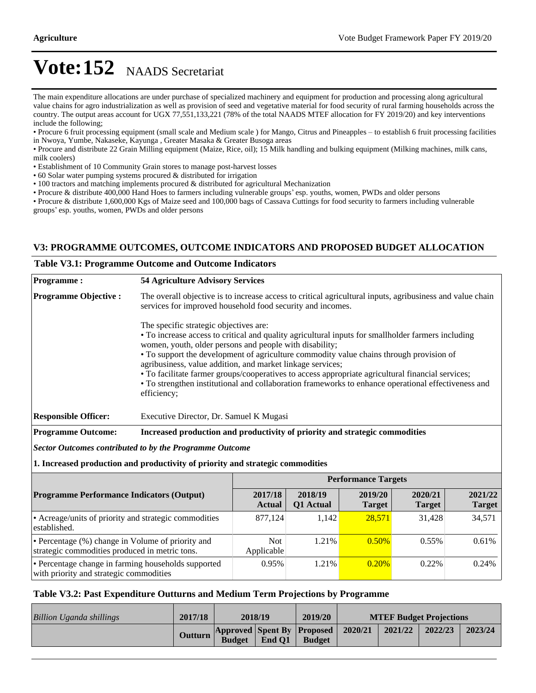The main expenditure allocations are under purchase of specialized machinery and equipment for production and processing along agricultural value chains for agro industrialization as well as provision of seed and vegetative material for food security of rural farming households across the country. The output areas account for UGX 77,551,133,221 (78% of the total NAADS MTEF allocation for FY 2019/20) and key interventions include the following;

• Procure 6 fruit processing equipment (small scale and Medium scale) for Mango, Citrus and Pineapples – to establish 6 fruit processing facilities in Nwoya, Yumbe, Nakaseke, Kayunga , Greater Masaka & Greater Busoga areas

Procure and distribute 22 Grain Milling equipment (Maize, Rice, oil); 15 Milk handling and bulking equipment (Milking machines, milk cans, milk coolers)

Establishment of 10 Community Grain stores to manage post-harvest losses

- 60 Solar water pumping systems procured & distributed for irrigation
- 100 tractors and matching implements procured & distributed for agricultural Mechanization

• Procure & distribute 400,000 Hand Hoes to farmers including vulnerable groups' esp. youths, women, PWDs and older persons

Procure & distribute 1,600,000 Kgs of Maize seed and 100,000 bags of Cassava Cuttings for food security to farmers including vulnerable groups' esp. youths, women, PWDs and older persons

### **V3: PROGRAMME OUTCOMES, OUTCOME INDICATORS AND PROPOSED BUDGET ALLOCATION**

#### **Table V3.1: Programme Outcome and Outcome Indicators**

| <b>Programme:</b>           | <b>54 Agriculture Advisory Services</b>                                                                                                                                                                                                                                                                                                                                                                                                                                                                                                                                                     |
|-----------------------------|---------------------------------------------------------------------------------------------------------------------------------------------------------------------------------------------------------------------------------------------------------------------------------------------------------------------------------------------------------------------------------------------------------------------------------------------------------------------------------------------------------------------------------------------------------------------------------------------|
| <b>Programme Objective:</b> | The overall objective is to increase access to critical agricultural inputs, agribusiness and value chain<br>services for improved household food security and incomes.                                                                                                                                                                                                                                                                                                                                                                                                                     |
|                             | The specific strategic objectives are:<br>• To increase access to critical and quality agricultural inputs for smallholder farmers including<br>women, youth, older persons and people with disability;<br>• To support the development of agriculture commodity value chains through provision of<br>agribusiness, value addition, and market linkage services;<br>• To facilitate farmer groups/cooperatives to access appropriate agricultural financial services;<br>• To strengthen institutional and collaboration frameworks to enhance operational effectiveness and<br>efficiency; |
| <b>Responsible Officer:</b> | Executive Director, Dr. Samuel K Mugasi                                                                                                                                                                                                                                                                                                                                                                                                                                                                                                                                                     |
| <b>Programme Outcome:</b>   | Increased production and productivity of priority and strategic commodities                                                                                                                                                                                                                                                                                                                                                                                                                                                                                                                 |
|                             | Sector Outcomes contributed to by the Programme Outcome                                                                                                                                                                                                                                                                                                                                                                                                                                                                                                                                     |
|                             | 1. Increased production and productivity of priority and strategic commodities                                                                                                                                                                                                                                                                                                                                                                                                                                                                                                              |

|                                                                                                     | <b>Performance Targets</b> |                      |                          |                          |                          |  |
|-----------------------------------------------------------------------------------------------------|----------------------------|----------------------|--------------------------|--------------------------|--------------------------|--|
| <b>Programme Performance Indicators (Output)</b>                                                    | 2017/18<br><b>Actual</b>   | 2018/19<br>Q1 Actual | 2019/20<br><b>Target</b> | 2020/21<br><b>Target</b> | 2021/22<br><b>Target</b> |  |
| • Acreage/units of priority and strategic commodities<br>established.                               | 877.124                    | 1.142                | 28.571                   | 31.428                   | 34,571                   |  |
| • Percentage (%) change in Volume of priority and<br>strategic commodities produced in metric tons. | Not.<br>Applicable         | $1.21\%$             | $0.50\%$                 | $0.55\%$                 | 0.61%                    |  |
| • Percentage change in farming households supported<br>with priority and strategic commodities      | 0.95%                      | $1.21\%$             | 0.20%                    | $0.22\%$                 | 0.24%                    |  |

#### **Table V3.2: Past Expenditure Outturns and Medium Term Projections by Programme**

| Billion Uganda shillings | 2017/18 | 2018/19       |        | 2019/20                                                     |         | <b>MTEF Budget Projections</b> |         |
|--------------------------|---------|---------------|--------|-------------------------------------------------------------|---------|--------------------------------|---------|
|                          |         | <b>Budget</b> | End O1 | Outturn Approved Spent By Proposed 2020/21<br><b>Budget</b> | 2021/22 | 2022/23                        | 2023/24 |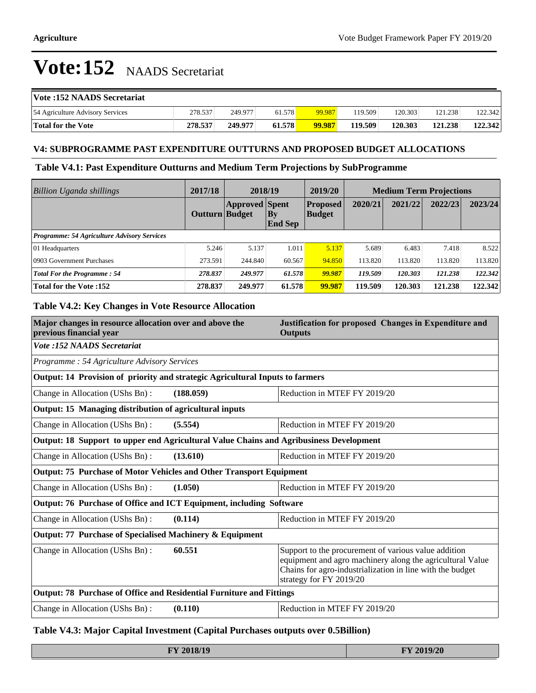| <b>Vote:152 NAADS Secretariat</b> |         |         |        |        |         |         |         |         |
|-----------------------------------|---------|---------|--------|--------|---------|---------|---------|---------|
| 54 Agriculture Advisory Services  | 278.537 | 249.977 | 61.578 | 99.987 | 119.509 | 120.303 | 121.238 | 122.342 |
| Total for the Vote                | 278.537 | 249.977 | 61.578 | 99.987 | 119.509 | 120.303 | 121.238 | 122.342 |

### **V4: SUBPROGRAMME PAST EXPENDITURE OUTTURNS AND PROPOSED BUDGET ALLOCATIONS**

### **Table V4.1: Past Expenditure Outturns and Medium Term Projections by SubProgramme**

| <b>Billion Uganda shillings</b>                    | 2017/18               | 2018/19               |                               | 2019/20                          |         |         | <b>Medium Term Projections</b> |         |
|----------------------------------------------------|-----------------------|-----------------------|-------------------------------|----------------------------------|---------|---------|--------------------------------|---------|
|                                                    | <b>Outturn Budget</b> | <b>Approved Spent</b> | $ {\bf By}$<br><b>End Sep</b> | <b>Proposed</b><br><b>Budget</b> | 2020/21 | 2021/22 | 2022/23                        | 2023/24 |
| <b>Programme: 54 Agriculture Advisory Services</b> |                       |                       |                               |                                  |         |         |                                |         |
| 01 Headquarters                                    | 5.246                 | 5.137                 | 1.011                         | 5.137                            | 5.689   | 6.483   | 7.418                          | 8.522   |
| 0903 Government Purchases                          | 273.591               | 244.840               | 60.567                        | 94.850                           | 113.820 | 113.820 | 113.820                        | 113.820 |
| <b>Total For the Programme: 54</b>                 | 278.837               | 249.977               | 61.578                        | 99.987                           | 119.509 | 120.303 | 121.238                        | 122.342 |
| <b>Total for the Vote :152</b>                     | 278.837               | 249.977               | 61.578                        | 99.987                           | 119.509 | 120.303 | 121.238                        | 122.342 |

### **Table V4.2: Key Changes in Vote Resource Allocation**

| Major changes in resource allocation over and above the<br>previous financial year     | Justification for proposed Changes in Expenditure and<br><b>Outputs</b>                                                                                                                                   |
|----------------------------------------------------------------------------------------|-----------------------------------------------------------------------------------------------------------------------------------------------------------------------------------------------------------|
| <b>Vote :152 NAADS Secretariat</b>                                                     |                                                                                                                                                                                                           |
| Programme: 54 Agriculture Advisory Services                                            |                                                                                                                                                                                                           |
| Output: 14 Provision of priority and strategic Agricultural Inputs to farmers          |                                                                                                                                                                                                           |
| Change in Allocation (UShs Bn):<br>(188.059)                                           | Reduction in MTEF FY 2019/20                                                                                                                                                                              |
| Output: 15 Managing distribution of agricultural inputs                                |                                                                                                                                                                                                           |
| Change in Allocation (UShs Bn):<br>(5.554)                                             | Reduction in MTEF FY 2019/20                                                                                                                                                                              |
| Output: 18 Support to upper end Agricultural Value Chains and Agribusiness Development |                                                                                                                                                                                                           |
| Change in Allocation (UShs Bn):<br>(13.610)                                            | Reduction in MTEF FY 2019/20                                                                                                                                                                              |
| Output: 75 Purchase of Motor Vehicles and Other Transport Equipment                    |                                                                                                                                                                                                           |
| Change in Allocation (UShs Bn):<br>(1.050)                                             | Reduction in MTEF FY 2019/20                                                                                                                                                                              |
| Output: 76 Purchase of Office and ICT Equipment, including Software                    |                                                                                                                                                                                                           |
| (0.114)<br>Change in Allocation (UShs Bn):                                             | Reduction in MTEF FY 2019/20                                                                                                                                                                              |
| Output: 77 Purchase of Specialised Machinery & Equipment                               |                                                                                                                                                                                                           |
| 60.551<br>Change in Allocation (UShs Bn):                                              | Support to the procurement of various value addition<br>equipment and agro machinery along the agricultural Value<br>Chains for agro-industrialization in line with the budget<br>strategy for FY 2019/20 |
| Output: 78 Purchase of Office and Residential Furniture and Fittings                   |                                                                                                                                                                                                           |
| Change in Allocation (UShs Bn):<br>(0.110)                                             | Reduction in MTEF FY 2019/20                                                                                                                                                                              |

### **Table V4.3: Major Capital Investment (Capital Purchases outputs over 0.5Billion)**

| FY 2018/19 | FY 2019/20 |
|------------|------------|
|------------|------------|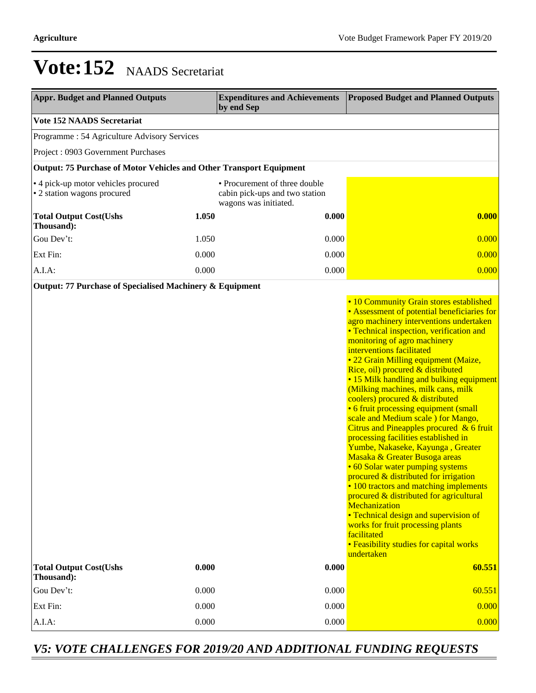| <b>Appr. Budget and Planned Outputs</b>                             |       | <b>Expenditures and Achievements</b><br>by end Sep                                       | <b>Proposed Budget and Planned Outputs</b>                                                                                                                                                                                                                                                                                                                                                                                                                                                                                                                                                                                                                                                                                                                                                                                                                                                                                                                                                                                      |
|---------------------------------------------------------------------|-------|------------------------------------------------------------------------------------------|---------------------------------------------------------------------------------------------------------------------------------------------------------------------------------------------------------------------------------------------------------------------------------------------------------------------------------------------------------------------------------------------------------------------------------------------------------------------------------------------------------------------------------------------------------------------------------------------------------------------------------------------------------------------------------------------------------------------------------------------------------------------------------------------------------------------------------------------------------------------------------------------------------------------------------------------------------------------------------------------------------------------------------|
| <b>Vote 152 NAADS Secretariat</b>                                   |       |                                                                                          |                                                                                                                                                                                                                                                                                                                                                                                                                                                                                                                                                                                                                                                                                                                                                                                                                                                                                                                                                                                                                                 |
| Programme : 54 Agriculture Advisory Services                        |       |                                                                                          |                                                                                                                                                                                                                                                                                                                                                                                                                                                                                                                                                                                                                                                                                                                                                                                                                                                                                                                                                                                                                                 |
| Project: 0903 Government Purchases                                  |       |                                                                                          |                                                                                                                                                                                                                                                                                                                                                                                                                                                                                                                                                                                                                                                                                                                                                                                                                                                                                                                                                                                                                                 |
| Output: 75 Purchase of Motor Vehicles and Other Transport Equipment |       |                                                                                          |                                                                                                                                                                                                                                                                                                                                                                                                                                                                                                                                                                                                                                                                                                                                                                                                                                                                                                                                                                                                                                 |
| • 4 pick-up motor vehicles procured<br>• 2 station wagons procured  |       | • Procurement of three double<br>cabin pick-ups and two station<br>wagons was initiated. |                                                                                                                                                                                                                                                                                                                                                                                                                                                                                                                                                                                                                                                                                                                                                                                                                                                                                                                                                                                                                                 |
| <b>Total Output Cost(Ushs</b><br>Thousand):                         | 1.050 | 0.000                                                                                    | 0.000                                                                                                                                                                                                                                                                                                                                                                                                                                                                                                                                                                                                                                                                                                                                                                                                                                                                                                                                                                                                                           |
| Gou Dev't:                                                          | 1.050 | 0.000                                                                                    | 0.000                                                                                                                                                                                                                                                                                                                                                                                                                                                                                                                                                                                                                                                                                                                                                                                                                                                                                                                                                                                                                           |
| Ext Fin:                                                            | 0.000 | 0.000                                                                                    | 0.000                                                                                                                                                                                                                                                                                                                                                                                                                                                                                                                                                                                                                                                                                                                                                                                                                                                                                                                                                                                                                           |
| A.I.A:                                                              | 0.000 | 0.000                                                                                    | 0.000                                                                                                                                                                                                                                                                                                                                                                                                                                                                                                                                                                                                                                                                                                                                                                                                                                                                                                                                                                                                                           |
| Output: 77 Purchase of Specialised Machinery & Equipment            |       |                                                                                          | • 10 Community Grain stores established<br>• Assessment of potential beneficiaries for<br>agro machinery interventions undertaken<br>• Technical inspection, verification and<br>monitoring of agro machinery<br>interventions facilitated<br>• 22 Grain Milling equipment (Maize,<br>Rice, oil) procured & distributed<br>• 15 Milk handling and bulking equipment<br>(Milking machines, milk cans, milk<br>coolers) procured & distributed<br>• 6 fruit processing equipment (small<br>scale and Medium scale ) for Mango,<br>Citrus and Pineapples procured & 6 fruit<br>processing facilities established in<br>Yumbe, Nakaseke, Kayunga, Greater<br>Masaka & Greater Busoga areas<br>• 60 Solar water pumping systems<br>procured & distributed for irrigation<br>• 100 tractors and matching implements<br>procured & distributed for agricultural<br>Mechanization<br>• Technical design and supervision of<br>works for fruit processing plants<br>facilitated<br>• Feasibility studies for capital works<br>undertaken |
| <b>Total Output Cost(Ushs</b><br>Thousand):                         | 0.000 | 0.000                                                                                    | 60.551                                                                                                                                                                                                                                                                                                                                                                                                                                                                                                                                                                                                                                                                                                                                                                                                                                                                                                                                                                                                                          |
| Gou Dev't:                                                          | 0.000 | 0.000                                                                                    | 60.551                                                                                                                                                                                                                                                                                                                                                                                                                                                                                                                                                                                                                                                                                                                                                                                                                                                                                                                                                                                                                          |
| Ext Fin:                                                            | 0.000 | 0.000                                                                                    | 0.000                                                                                                                                                                                                                                                                                                                                                                                                                                                                                                                                                                                                                                                                                                                                                                                                                                                                                                                                                                                                                           |
| A.I.A.                                                              | 0.000 | 0.000                                                                                    | 0.000                                                                                                                                                                                                                                                                                                                                                                                                                                                                                                                                                                                                                                                                                                                                                                                                                                                                                                                                                                                                                           |

### *V5: VOTE CHALLENGES FOR 2019/20 AND ADDITIONAL FUNDING REQUESTS*